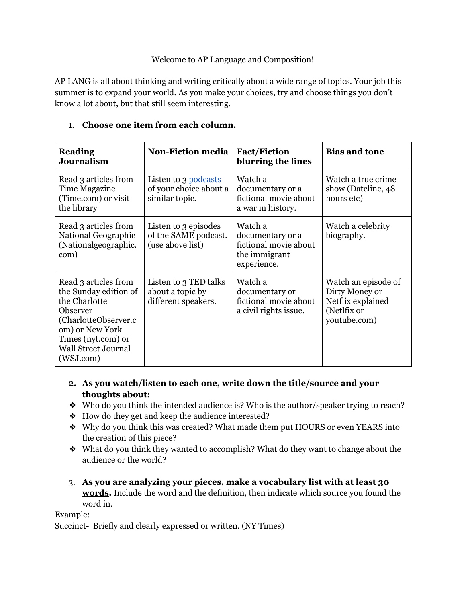## Welcome to AP Language and Composition!

AP LANG is all about thinking and writing critically about a wide range of topics. Your job this summer is to expand your world. As you make your choices, try and choose things you don't know a lot about, but that still seem interesting.

| <b>Reading</b><br><b>Journalism</b>                                                                                                                                                     | <b>Non-Fiction media</b>                                         | <b>Fact/Fiction</b><br>blurring the lines                                            | <b>Bias and tone</b>                                                                      |
|-----------------------------------------------------------------------------------------------------------------------------------------------------------------------------------------|------------------------------------------------------------------|--------------------------------------------------------------------------------------|-------------------------------------------------------------------------------------------|
| Read 3 articles from<br>Time Magazine<br>(Time.com) or visit<br>the library                                                                                                             | Listen to 3 podcasts<br>of your choice about a<br>similar topic. | Watch a<br>documentary or a<br>fictional movie about<br>a war in history.            | Watch a true crime<br>show (Dateline, 48<br>hours etc)                                    |
| Read 3 articles from<br>National Geographic<br>(Nationalgeographic.<br>com)                                                                                                             | Listen to 3 episodes<br>of the SAME podcast.<br>(use above list) | Watch a<br>documentary or a<br>fictional movie about<br>the immigrant<br>experience. | Watch a celebrity<br>biography.                                                           |
| Read 3 articles from<br>the Sunday edition of<br>the Charlotte<br>Observer<br>(CharlotteObserver.c)<br>om) or New York<br>Times (nyt.com) or<br><b>Wall Street Journal</b><br>(WSJ.com) | Listen to 3 TED talks<br>about a topic by<br>different speakers. | Watch a<br>documentary or<br>fictional movie about<br>a civil rights issue.          | Watch an episode of<br>Dirty Money or<br>Netflix explained<br>(Netlfix or<br>youtube.com) |

## 1. **Choose one item from each column.**

- **2. As you watch/listen to each one, write down the title/source and your thoughts about:**
- ❖ Who do you think the intended audience is? Who is the author/speaker trying to reach?
- ❖ How do they get and keep the audience interested?
- ❖ Why do you think this was created? What made them put HOURS or even YEARS into the creation of this piece?
- ❖ What do you think they wanted to accomplish? What do they want to change about the audience or the world?
- 3. **As you are analyzing your pieces, make a vocabulary list with at least 30 words.** Include the word and the definition, then indicate which source you found the word in.

## Example:

Succinct- Briefly and clearly expressed or written. (NY Times)